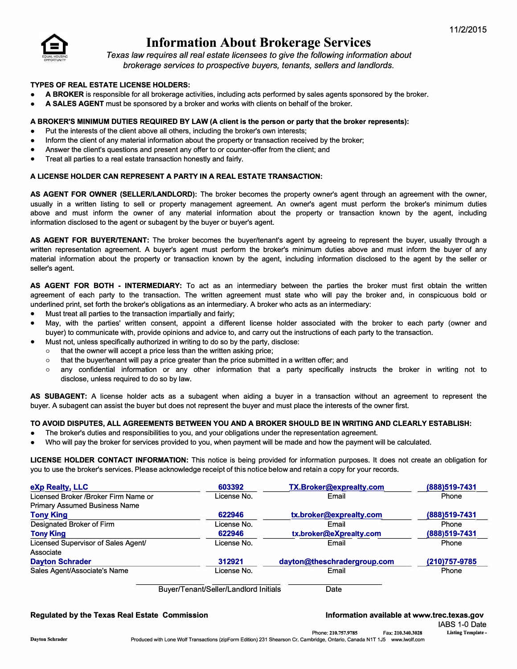

# **Information About Brokerage Services**

*Texas law requires all real estate licensees to give the following information about brokerage services to prospective buyers, tenants, sellers and landlords.* 

### **TYPES OF REAL ESTATE LICENSE HOLDERS:**

- **A BROKER** is responsible for all brokerage activities, including acts performed by sales agents sponsored by the broker.
- **A SALES AGENT** must be sponsored by a broker and works with clients on behalf of the broker.

#### **A BROKER'S MINIMUM DUTIES REQUIRED BY LAW (A client is the person or party that the broker represents):**

- Put the interests of the client above all others, including the broker's own interests;
- Inform the client of any material information about the property or transaction received by the broker;
- Answer the client's questions and present any offer to or counter-offer from the client; and
- Treat all parties to a real estate transaction honestly and fairly.

## **A LICENSE HOLDER CAN REPRESENT A PARTY IN A REAL ESTATE TRANSACTION:**

**AS AGENT FOR OWNER (SELLER/LANDLORD):** The broker becomes the property owner's agent through an agreement with the owner, usually in a written listing to sell or property management agreement. An owner's agent must perform the broker's minimum duties above and must inform the owner of any material information about the property or transaction known by the agent, including information disclosed to the agent or subagent by the buyer or buyer's agent.

**AS AGENT FOR BUYER/TENANT:** The broker becomes the buyer/tenant's agent by agreeing to represent the buyer, usually through a written representation agreement. A buyer's agent must perform the broker's minimum duties above and must inform the buyer of any material information about the property or transaction known by the agent, including information disclosed to the agent by the seller or seller's agent.

**AS AGENT FOR BOTH - INTERMEDIARY:** To act as an intermediary between the parties the broker must first obtain the written agreement of each party to the transaction. The written agreement must state who will pay the broker and, in conspicuous bold or underlined print, set forth the broker's obligations as an intermediary. A broker who acts as an intermediary:

- Must treat all parties to the transaction impartially and fairly;
- May, with the parties' written consent, appoint a different license holder associated with the broker to each party (owner and buyer) to communicate with, provide opinions and advice to, and carry out the instructions of each party to the transaction.
	- Must not, unless specifically authorized in writing to do so by the party, disclose:
		- o that the owner will accept a price less than the written asking price;
		- $\circ$  that the buyer/tenant will pay a price greater than the price submitted in a written offer; and
		- o any confidential information or any other information that a party specifically instructs the broker in writing not to disclose, unless required to do so by law.

**AS SUBAGENT:** A license holder acts as a subagent when aiding a buyer in a transaction without an agreement to represent the buyer. A subagent can assist the buyer but does not represent the buyer and must place the interests of the owner first.

#### **TO AVOID DISPUTES, ALL AGREEMENTS BETWEEN YOU AND A BROKER SHOULD BE IN WRITING AND CLEARLY ESTABLISH:**

- The broker's duties and responsibilities to you, and your obligations under the representation agreement.
- Who will pay the broker for services provided to you, when payment will be made and how the payment will be calculated.

**LICENSE HOLDER CONTACT INFORMATION:** This notice is being provided for information purposes. It does not create an obligation for you to use the broker's services. Please acknowledge receipt of this notice below and retain a copy for your records.

| eXp Realty, LLC                       | 603392      | TX.Broker@exprealty.com     | (888) 519-7431 |
|---------------------------------------|-------------|-----------------------------|----------------|
| Licensed Broker / Broker Firm Name or | License No. | Email                       | Phone          |
| <b>Primary Assumed Business Name</b>  |             |                             |                |
| <b>Tony King</b>                      | 622946      | tx.broker@exprealty.com     | (888) 519-7431 |
| Designated Broker of Firm             | License No. | Email                       | Phone          |
| <b>Tony King</b>                      | 622946      | tx.broker@eXprealty.com     | (888) 519-7431 |
| Licensed Supervisor of Sales Agent/   | License No. | Email                       | Phone          |
| Associate                             |             |                             |                |
| <b>Dayton Schrader</b>                | 312921      | dayton@theschradergroup.com | (210) 757-9785 |
| Sales Agent/Associate's Name          | License No. | Email                       | Phone          |
|                                       |             |                             |                |

Buyer/Tenant/Seller/Landlord Initials Date

# **Regulated by the Texas Real Estate Commission Information available at www.trec.texas.gov Regulated by the Texas Agov**

IABS 1-0 Date **Listing Template -**